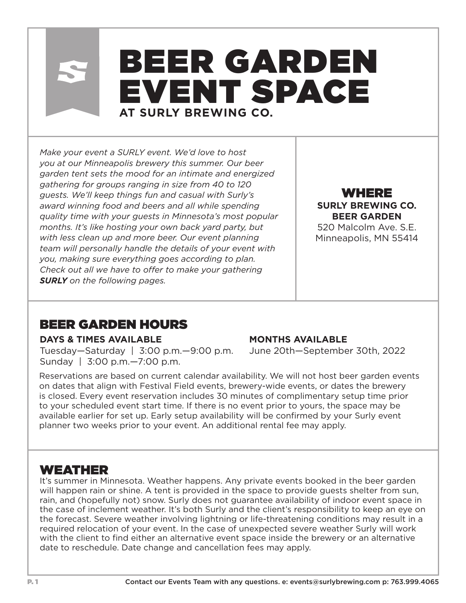# BEER GARDEN EVENT SPACE **AT SURLY BREWING CO.**

*Make your event a SURLY event. We'd love to host you at our Minneapolis brewery this summer. Our beer garden tent sets the mood for an intimate and energized gathering for groups ranging in size from 40 to 120 guests. We'll keep things fun and casual with Surly's award winning food and beers and all while spending quality time with your guests in Minnesota's most popular months. It's like hosting your own back yard party, but with less clean up and more beer. Our event planning team will personally handle the details of your event with you, making sure everything goes according to plan. Check out all we have to offer to make your gathering SURLY on the following pages.*

WHERE **SURLY BREWING CO. BEER GARDEN** 520 Malcolm Ave. S.E.

Minneapolis, MN 55414

## BEER GARDEN HOURS

#### **DAYS & TIMES AVAILABLE**

Tuesday—Saturday | 3:00 p.m.—9:00 p.m. Sunday | 3:00 p.m.—7:00 p.m.

#### **MONTHS AVAILABLE**

June 20th—September 30th, 2022

Reservations are based on current calendar availability. We will not host beer garden events on dates that align with Festival Field events, brewery-wide events, or dates the brewery is closed. Every event reservation includes 30 minutes of complimentary setup time prior to your scheduled event start time. If there is no event prior to yours, the space may be available earlier for set up. Early setup availability will be confirmed by your Surly event planner two weeks prior to your event. An additional rental fee may apply.

#### WEATHER

It's summer in Minnesota. Weather happens. Any private events booked in the beer garden will happen rain or shine. A tent is provided in the space to provide guests shelter from sun, rain, and (hopefully not) snow. Surly does not guarantee availability of indoor event space in the case of inclement weather. It's both Surly and the client's responsibility to keep an eye on the forecast. Severe weather involving lightning or life-threatening conditions may result in a required relocation of your event. In the case of unexpected severe weather Surly will work with the client to find either an alternative event space inside the brewery or an alternative date to reschedule. Date change and cancellation fees may apply.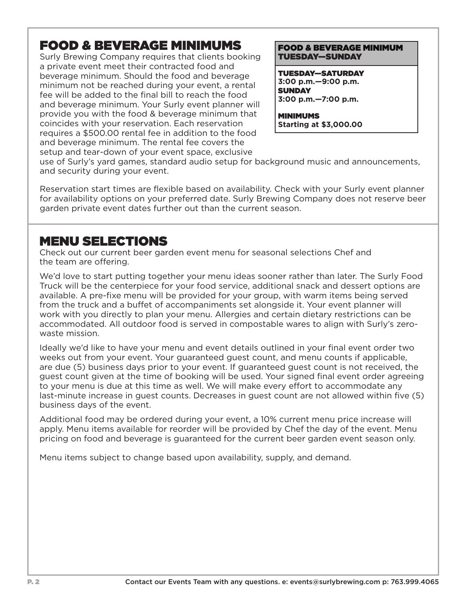## FOOD & BEVERAGE MINIMUMS

Surly Brewing Company requires that clients booking a private event meet their contracted food and beverage minimum. Should the food and beverage minimum not be reached during your event, a rental fee will be added to the final bill to reach the food and beverage minimum. Your Surly event planner will provide you with the food & beverage minimum that coincides with your reservation. Each reservation requires a \$500.00 rental fee in addition to the food and beverage minimum. The rental fee covers the setup and tear-down of your event space, exclusive

#### FOOD & BEVERAGE MINIMUM TUESDAY—SUNDAY

TUESDAY—SATURDAY **3:00 p.m.—9:00 p.m. SUNDAY 3:00 p.m.—7:00 p.m.**

MINIMUMS **Starting at \$3,000.00**

use of Surly's yard games, standard audio setup for background music and announcements, and security during your event.

Reservation start times are flexible based on availability. Check with your Surly event planner for availability options on your preferred date. Surly Brewing Company does not reserve beer garden private event dates further out than the current season.

#### MENU SELECTIONS

Check out our current beer garden event menu for seasonal selections Chef and the team are offering.

We'd love to start putting together your menu ideas sooner rather than later. The Surly Food Truck will be the centerpiece for your food service, additional snack and dessert options are available. A pre-fixe menu will be provided for your group, with warm items being served from the truck and a buffet of accompaniments set alongside it. Your event planner will work with you directly to plan your menu. Allergies and certain dietary restrictions can be accommodated. All outdoor food is served in compostable wares to align with Surly's zerowaste mission.

Ideally we'd like to have your menu and event details outlined in your final event order two weeks out from your event. Your guaranteed guest count, and menu counts if applicable, are due (5) business days prior to your event. If guaranteed guest count is not received, the guest count given at the time of booking will be used. Your signed final event order agreeing to your menu is due at this time as well. We will make every effort to accommodate any last-minute increase in guest counts. Decreases in guest count are not allowed within five (5) business days of the event.

Additional food may be ordered during your event, a 10% current menu price increase will apply. Menu items available for reorder will be provided by Chef the day of the event. Menu pricing on food and beverage is guaranteed for the current beer garden event season only.

Menu items subject to change based upon availability, supply, and demand.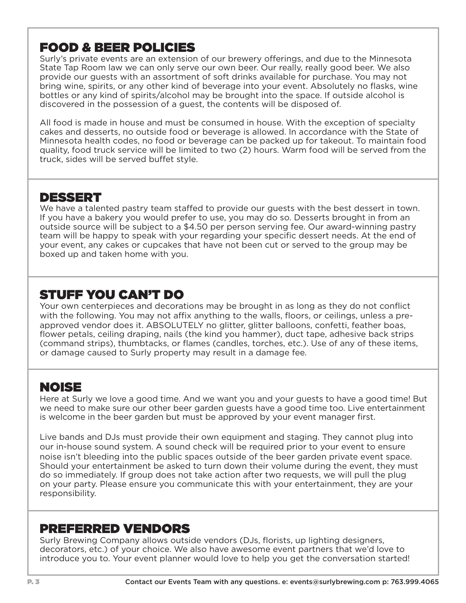## FOOD & BEER POLICIES

Surly's private events are an extension of our brewery offerings, and due to the Minnesota State Tap Room law we can only serve our own beer. Our really, really good beer. We also provide our guests with an assortment of soft drinks available for purchase. You may not bring wine, spirits, or any other kind of beverage into your event. Absolutely no flasks, wine bottles or any kind of spirits/alcohol may be brought into the space. If outside alcohol is discovered in the possession of a guest, the contents will be disposed of.

All food is made in house and must be consumed in house. With the exception of specialty cakes and desserts, no outside food or beverage is allowed. In accordance with the State of Minnesota health codes, no food or beverage can be packed up for takeout. To maintain food quality, food truck service will be limited to two (2) hours. Warm food will be served from the truck, sides will be served buffet style.

#### DESSERT

We have a talented pastry team staffed to provide our guests with the best dessert in town. If you have a bakery you would prefer to use, you may do so. Desserts brought in from an outside source will be subject to a \$4.50 per person serving fee. Our award-winning pastry team will be happy to speak with your regarding your specific dessert needs. At the end of your event, any cakes or cupcakes that have not been cut or served to the group may be boxed up and taken home with you.

## STUFF YOU CAN'T DO

Your own centerpieces and decorations may be brought in as long as they do not conflict with the following. You may not affix anything to the walls, floors, or ceilings, unless a preapproved vendor does it. ABSOLUTELY no glitter, glitter balloons, confetti, feather boas, flower petals, ceiling draping, nails (the kind you hammer), duct tape, adhesive back strips (command strips), thumbtacks, or flames (candles, torches, etc.). Use of any of these items, or damage caused to Surly property may result in a damage fee.

## NOISE

Here at Surly we love a good time. And we want you and your guests to have a good time! But we need to make sure our other beer garden guests have a good time too. Live entertainment is welcome in the beer garden but must be approved by your event manager first.

Live bands and DJs must provide their own equipment and staging. They cannot plug into our in-house sound system. A sound check will be required prior to your event to ensure noise isn't bleeding into the public spaces outside of the beer garden private event space. Should your entertainment be asked to turn down their volume during the event, they must do so immediately. If group does not take action after two requests, we will pull the plug on your party. Please ensure you communicate this with your entertainment, they are your responsibility.

#### PREFERRED VENDORS

Surly Brewing Company allows outside vendors (DJs, florists, up lighting designers, decorators, etc.) of your choice. We also have awesome event partners that we'd love to introduce you to. Your event planner would love to help you get the conversation started!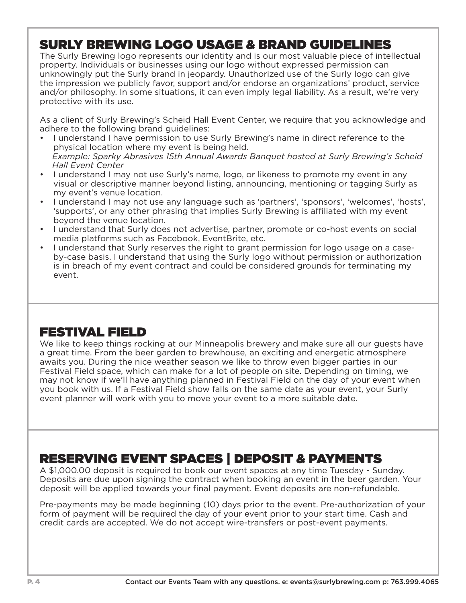## SURLY BREWING LOGO USAGE & BRAND GUIDELINES

The Surly Brewing logo represents our identity and is our most valuable piece of intellectual property. Individuals or businesses using our logo without expressed permission can unknowingly put the Surly brand in jeopardy. Unauthorized use of the Surly logo can give the impression we publicly favor, support and/or endorse an organizations' product, service and/or philosophy. In some situations, it can even imply legal liability. As a result, we're very protective with its use.

As a client of Surly Brewing's Scheid Hall Event Center, we require that you acknowledge and adhere to the following brand guidelines:

- I understand I have permission to use Surly Brewing's name in direct reference to the physical location where my event is being held.  *Example: Sparky Abrasives 15th Annual Awards Banquet hosted at Surly Brewing's Scheid Hall Event Center*
- I understand I may not use Surly's name, logo, or likeness to promote my event in any visual or descriptive manner beyond listing, announcing, mentioning or tagging Surly as my event's venue location.
- I understand I may not use any language such as 'partners', 'sponsors', 'welcomes', 'hosts', 'supports', or any other phrasing that implies Surly Brewing is affiliated with my event beyond the venue location.
- I understand that Surly does not advertise, partner, promote or co-host events on social media platforms such as Facebook, EventBrite, etc.
- I understand that Surly reserves the right to grant permission for logo usage on a caseby-case basis. I understand that using the Surly logo without permission or authorization is in breach of my event contract and could be considered grounds for terminating my event.

## FESTIVAL FIELD

We like to keep things rocking at our Minneapolis brewery and make sure all our guests have a great time. From the beer garden to brewhouse, an exciting and energetic atmosphere awaits you. During the nice weather season we like to throw even bigger parties in our Festival Field space, which can make for a lot of people on site. Depending on timing, we may not know if we'll have anything planned in Festival Field on the day of your event when you book with us. If a Festival Field show falls on the same date as your event, your Surly event planner will work with you to move your event to a more suitable date.

## RESERVING EVENT SPACES | DEPOSIT & PAYMENTS

A \$1,000.00 deposit is required to book our event spaces at any time Tuesday - Sunday. Deposits are due upon signing the contract when booking an event in the beer garden. Your deposit will be applied towards your final payment. Event deposits are non-refundable.

Pre-payments may be made beginning (10) days prior to the event. Pre-authorization of your form of payment will be required the day of your event prior to your start time. Cash and credit cards are accepted. We do not accept wire-transfers or post-event payments.